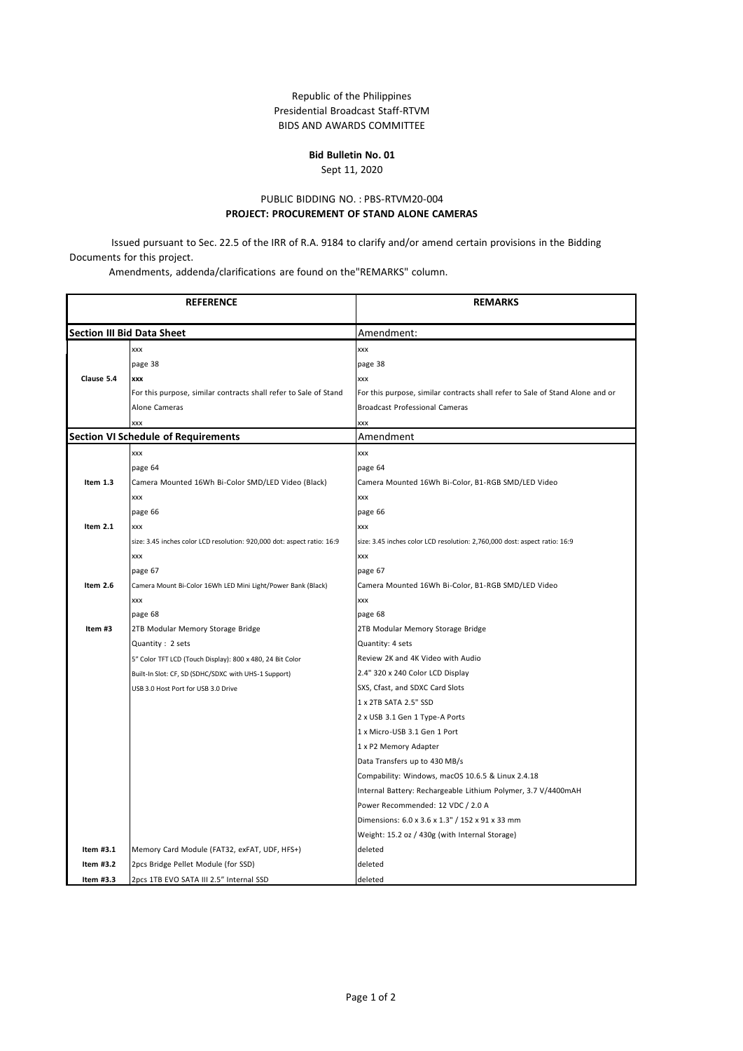## Republic of the Philippines Presidential Broadcast Staff-RTVM BIDS AND AWARDS COMMITTEE

## **Bid Bulletin No. 01**

Sept 11, 2020

## PUBLIC BIDDING NO. : PBS-RTVM20-004 **PROJECT: PROCUREMENT OF STAND ALONE CAMERAS**

Issued pursuant to Sec. 22.5 of the IRR of R.A. 9184 to clarify and/or amend certain provisions in the Bidding Documents for this project.

Amendments, addenda/clarifications are found on the"REMARKS" column.

| <b>REFERENCE</b>                           |                                                                         | <b>REMARKS</b>                                                                |
|--------------------------------------------|-------------------------------------------------------------------------|-------------------------------------------------------------------------------|
|                                            |                                                                         |                                                                               |
|                                            | <b>Section III Bid Data Sheet</b>                                       | Amendment:                                                                    |
|                                            | xxx                                                                     | xxx                                                                           |
|                                            | page 38                                                                 | page 38                                                                       |
| Clause 5.4                                 | <b>XXX</b>                                                              | xxx                                                                           |
|                                            | For this purpose, similar contracts shall refer to Sale of Stand        | For this purpose, similar contracts shall refer to Sale of Stand Alone and or |
|                                            | Alone Cameras                                                           | <b>Broadcast Professional Cameras</b>                                         |
|                                            | XXX                                                                     | XXX                                                                           |
| <b>Section VI Schedule of Requirements</b> |                                                                         | Amendment                                                                     |
|                                            | XXX                                                                     | <b>XXX</b>                                                                    |
|                                            | page 64                                                                 | page 64                                                                       |
| Item 1.3                                   | Camera Mounted 16Wh Bi-Color SMD/LED Video (Black)                      | Camera Mounted 16Wh Bi-Color, B1-RGB SMD/LED Video                            |
|                                            | XXX                                                                     | XXX                                                                           |
|                                            | page 66                                                                 | page 66                                                                       |
| Item 2.1                                   | <b>XXX</b>                                                              | <b>XXX</b>                                                                    |
|                                            | size: 3.45 inches color LCD resolution: 920,000 dot: aspect ratio: 16:9 | size: 3.45 inches color LCD resolution: 2,760,000 dost: aspect ratio: 16:9    |
|                                            | XXX                                                                     | XXX                                                                           |
|                                            | page 67                                                                 | page 67                                                                       |
| Item 2.6                                   | Camera Mount Bi-Color 16Wh LED Mini Light/Power Bank (Black)            | Camera Mounted 16Wh Bi-Color, B1-RGB SMD/LED Video                            |
|                                            | XXX                                                                     | XXX                                                                           |
|                                            | page 68                                                                 | page 68                                                                       |
| Item #3                                    | 2TB Modular Memory Storage Bridge                                       | 2TB Modular Memory Storage Bridge                                             |
|                                            | Quantity: 2 sets                                                        | Quantity: 4 sets                                                              |
|                                            | 5" Color TFT LCD (Touch Display): 800 x 480, 24 Bit Color               | Review 2K and 4K Video with Audio                                             |
|                                            | Built-In Slot: CF, SD (SDHC/SDXC with UHS-1 Support)                    | 2.4" 320 x 240 Color LCD Display                                              |
|                                            | USB 3.0 Host Port for USB 3.0 Drive                                     | SXS, Cfast, and SDXC Card Slots                                               |
|                                            |                                                                         | 1 x 2TB SATA 2.5" SSD                                                         |
|                                            |                                                                         | 2 x USB 3.1 Gen 1 Type-A Ports                                                |
|                                            |                                                                         | 1 x Micro-USB 3.1 Gen 1 Port                                                  |
|                                            |                                                                         | 1 x P2 Memory Adapter                                                         |
|                                            |                                                                         | Data Transfers up to 430 MB/s                                                 |
|                                            |                                                                         | Compability: Windows, macOS 10.6.5 & Linux 2.4.18                             |
|                                            |                                                                         | Internal Battery: Rechargeable Lithium Polymer, 3.7 V/4400mAH                 |
|                                            |                                                                         | Power Recommended: 12 VDC / 2.0 A                                             |
|                                            |                                                                         | Dimensions: 6.0 x 3.6 x 1.3" / 152 x 91 x 33 mm                               |
|                                            |                                                                         | Weight: 15.2 oz / 430g (with Internal Storage)                                |
| Item #3.1                                  | Memory Card Module (FAT32, exFAT, UDF, HFS+)                            | deleted                                                                       |
| Item #3.2                                  | 2pcs Bridge Pellet Module (for SSD)                                     | deleted                                                                       |
| Item #3.3                                  | 2pcs 1TB EVO SATA III 2.5" Internal SSD                                 | deleted                                                                       |